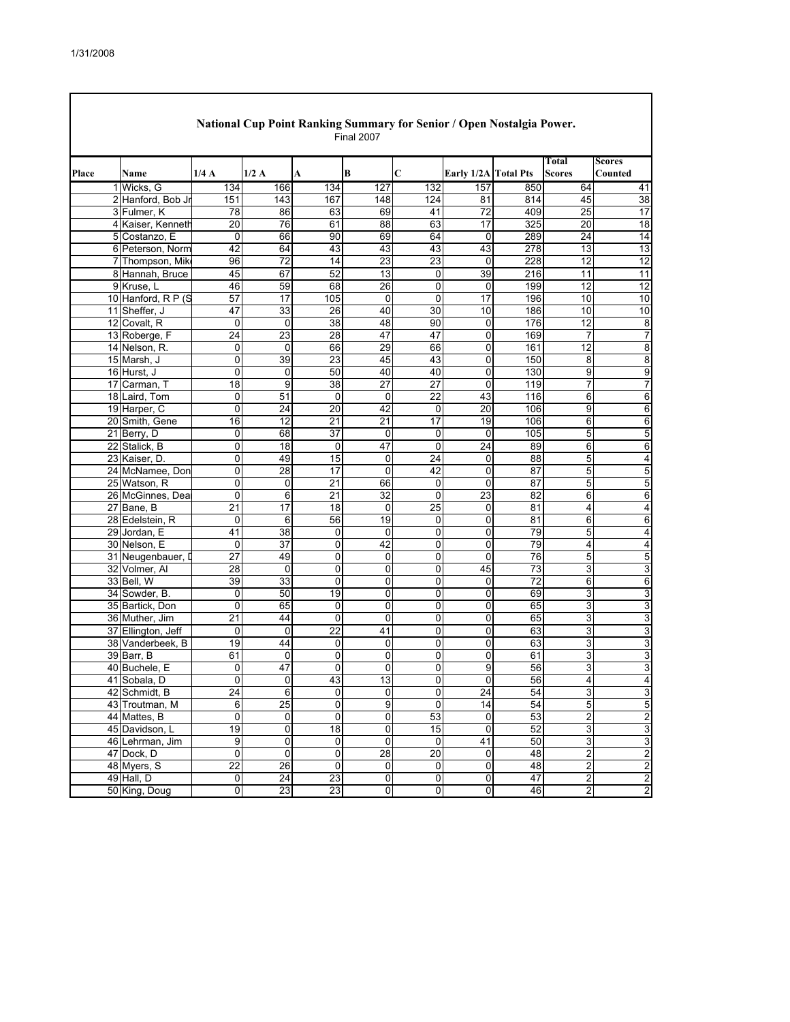$\overline{\phantom{a}}$ 

|       |                                   |                  |                         |                            | <b>Final 2007</b>       |                 |                         |                 |                         |                   |
|-------|-----------------------------------|------------------|-------------------------|----------------------------|-------------------------|-----------------|-------------------------|-----------------|-------------------------|-------------------|
| Place | Name                              | 1/4A             | 1/2A                    | A                          | B                       | C               | Early 1/2A Total Pts    |                 | Total<br><b>Scores</b>  | Scores<br>Counted |
|       | 1 Wicks, G                        | 134              | 166                     | 134                        | 127                     | 132             | 157                     | 850             | 64                      | 41                |
|       | 2 Hanford, Bob Jr                 | 151              | 143                     | 167                        | 148                     | 124             | 81                      | 814             | 45                      | 38                |
|       | 3 Fulmer, K                       | 78               | 86                      | 63                         | 69                      | 41              | $\overline{72}$         | 409             | 25                      | 17                |
|       | 4 Kaiser, Kenneth                 | $\overline{20}$  | 76                      | 61                         | 88                      | 63              | 17                      | 325             | 20                      | $\overline{18}$   |
|       | 5 Costanzo, E                     | 0                | 66                      | 90                         | 69                      | 64              | 0                       | 289             | 24                      | 14                |
|       | 6 Peterson, Norm                  | 42               | 64                      | 43                         | 43                      | 43              | 43                      | 278             | 13                      | 13                |
|       | 7 Thompson, Mike                  | 96               | 72                      | 14                         | 23                      | 23              | $\mathbf 0$             | 228             | 12                      | 12                |
|       | 8 Hannah, Bruce                   | 45               | 67                      | 52                         | 13                      | 0               | 39                      | 216             | 11                      | 11                |
|       | 9 Kruse. L                        | 46               | 59                      | 68                         | 26                      | 0               | 0                       | 199             | 12                      | 12                |
|       | 10 Hanford, R P (S                | 57               | 17                      | 105                        | 0                       | 0               | 17                      | 196             | 10                      | 10                |
|       | 11 Sheffer, J                     | 47               | 33                      | 26                         | 40                      | 30              | 10                      | 186             | 10                      | 10                |
|       | 12 Covalt, R                      | $\mathbf 0$      | 0                       | 38                         | 48                      | 90              | $\mathbf 0$             | 176             | 12                      | 8                 |
|       | 13 Roberge, F                     | $\overline{24}$  | 23                      | 28                         | 47                      | 47              | 0                       | 169             | 7                       | $\overline{7}$    |
|       | 14 Nelson, R.                     | 0                | 0                       | 66                         | 29                      | 66              | 0                       | 161             | 12                      | 8                 |
|       | 15 Marsh, J                       | 0                | 39                      | 23                         | 45                      | 43              | 0                       | 150             | 8                       | $\overline{8}$    |
|       | 16 Hurst, J                       | 0                | 0                       | 50                         | 40                      | 40              | 0                       | 130             | 9                       | 9                 |
|       | 17 Carman, T                      | 18               | 9                       | 38                         | 27                      | 27              | 0                       | 119             | $\overline{7}$          | $\overline{7}$    |
|       | 18 Laird, Tom                     | 0                | $\overline{51}$         | $\mathbf 0$                | $\mathbf 0$             | $\overline{22}$ | 43                      | 116             | 6                       | 6                 |
|       | 19 Harper, C                      | 0                | 24                      | 20                         | 42                      | 0               | 20                      | 106             | 9                       | 6                 |
|       | 20 Smith, Gene                    | 16               | 12                      | 21                         | 21                      | $\overline{17}$ | 19                      | 106             | 6                       | 6                 |
|       | 21 Berry, D                       | 0                | 68                      | 37                         | $\mathbf 0$             | $\mathbf 0$     | 0                       | 105             | 5                       | 5                 |
|       | 22 Stalick, B                     | 0                | $\overline{18}$         | 0                          | 47                      | $\overline{0}$  | 24                      | 89              | 6                       | 6                 |
|       | 23 Kaiser, D.                     | 0                | 49                      | 15                         | 0                       | $\overline{24}$ | 0                       | 88              | 5                       | 4                 |
|       | 24 McNamee, Don                   | 0                | 28                      | 17                         | 0                       | 42              | $\mathbf 0$             | 87              | 5                       | 5                 |
|       | 25 Watson, R                      | 0                | 0                       | $\overline{21}$            | 66                      | $\mathbf 0$     | $\pmb{0}$               | $\overline{87}$ | 5                       | 5                 |
|       | 26 McGinnes, Dea                  | 0                | 6                       | 21                         | 32                      | $\mathbf 0$     | 23                      | 82              | 6                       | 6                 |
|       | 27 Bane, B                        | 21               | 17                      | 18                         | 0                       | 25              | 0                       | 81              | 4                       | 4                 |
|       | 28 Edelstein, R                   | $\mathbf 0$      | 6                       | 56                         | $\overline{19}$         | $\mathbf 0$     | $\mathbf 0$             | 81              | 6                       | 6                 |
|       | 29 Jordan, E                      | 41               | $\overline{38}$         | $\mathbf 0$                | 0                       | $\mathbf 0$     | 0                       | 79              | 5                       | 4                 |
|       | 30 Nelson, E                      | 0                | $\overline{37}$         | 0                          | 42                      | 0               | 0                       | 79              | 4                       | 4                 |
|       | 31 Neugenbauer, D                 | $\overline{27}$  | 49                      | 0                          | 0                       | 0               | 0                       | 76              | 5                       | 5                 |
|       | 32 Volmer, Al                     | 28               | $\mathbf 0$             | 0                          | 0                       | 0               | 45                      | 73              | 3                       | 3                 |
|       | 33 Bell, W                        | 39               | 33                      | $\mathbf 0$                | 0                       | 0               | 0                       | 72              | 6                       | 6                 |
|       | 34 Sowder, B.                     | 0<br>$\Omega$    | 50<br>65                | 19                         | 0<br>0                  | 0<br>$\Omega$   | 0                       | 69<br>65        | 3                       | 3                 |
|       | 35 Bartick, Don<br>36 Muther, Jim | $\overline{21}$  | 44                      | $\mathbf 0$<br>$\mathbf 0$ | 0                       | 0               | 0<br>0                  | 65              | 3<br>3                  | 3<br>3            |
|       | 37 Ellington, Jeff                | 0                | 0                       | 22                         | 41                      | $\mathbf 0$     | 0                       | 63              | 3                       | 3                 |
|       | 38 Vanderbeek, B                  | 19               | 44                      | 0                          | 0                       | 0               | 0                       | 63              | 3                       | 3                 |
|       | 39 Barr, B                        | 61               | 0                       | 0                          | 0                       | 0               | 0                       | 61              | 3                       | 3                 |
|       | 40 Buchele, E                     | 0                | 47                      | $\mathbf 0$                | 0                       | 0               | 9                       | 56              | 3                       | 3                 |
|       | 41 Sobala, D                      | 0                | 0                       | 43                         | 13                      | 0               | 0                       | 56              | 4                       | 4                 |
|       | 42 Schmidt, B                     | $\overline{24}$  | $\overline{6}$          | 0                          |                         | $\overline{0}$  | $\overline{24}$         | 54              |                         | 3                 |
|       | 43 Troutman, M                    | 6                | 25                      | 0                          | U<br>$\overline{9}$     | 0               | 14                      | 54              | 3<br>5                  | 5                 |
|       | 44 Mattes, B                      | $\mathbf 0$      | 0                       | 0                          | $\pmb{0}$               | 53              | 0                       | 53              | 2                       | $\overline{c}$    |
|       | 45 Davidson, L                    | 19               | $\overline{0}$          | 18                         | $\overline{0}$          | 15              | $\overline{0}$          | 52              | 3                       | 3                 |
|       | 46 Lehrman, Jim                   | $\boldsymbol{9}$ | $\overline{\mathsf{o}}$ | $\pmb{0}$                  | $\overline{0}$          | $\mathbf 0$     | 41                      | 50              | 3                       | 3                 |
|       | 47 Dock, D                        | 0                | $\overline{0}$          | $\overline{0}$             | $\overline{28}$         | $\overline{20}$ | $\overline{0}$          | 48              | 2                       | $\overline{2}$    |
|       | 48 Myers, S                       | $\overline{22}$  | $\overline{26}$         | $\mathbf 0$                | $\pmb{0}$               | $\pmb{0}$       | $\overline{0}$          | 48              | $\overline{\mathbf{c}}$ | $\overline{c}$    |
|       | 49 Hall, D                        | $\mathbf 0$      | 24                      | 23                         | $\overline{\mathsf{o}}$ | $\pmb{0}$       | $\mathsf{o}$            | 47              | $\overline{c}$          | $\overline{c}$    |
|       | 50 King, Doug                     | 0                | 23                      | 23                         | 0                       | $\pmb{0}$       | $\overline{\mathbf{0}}$ | 46              | $\overline{2}$          | $\overline{2}$    |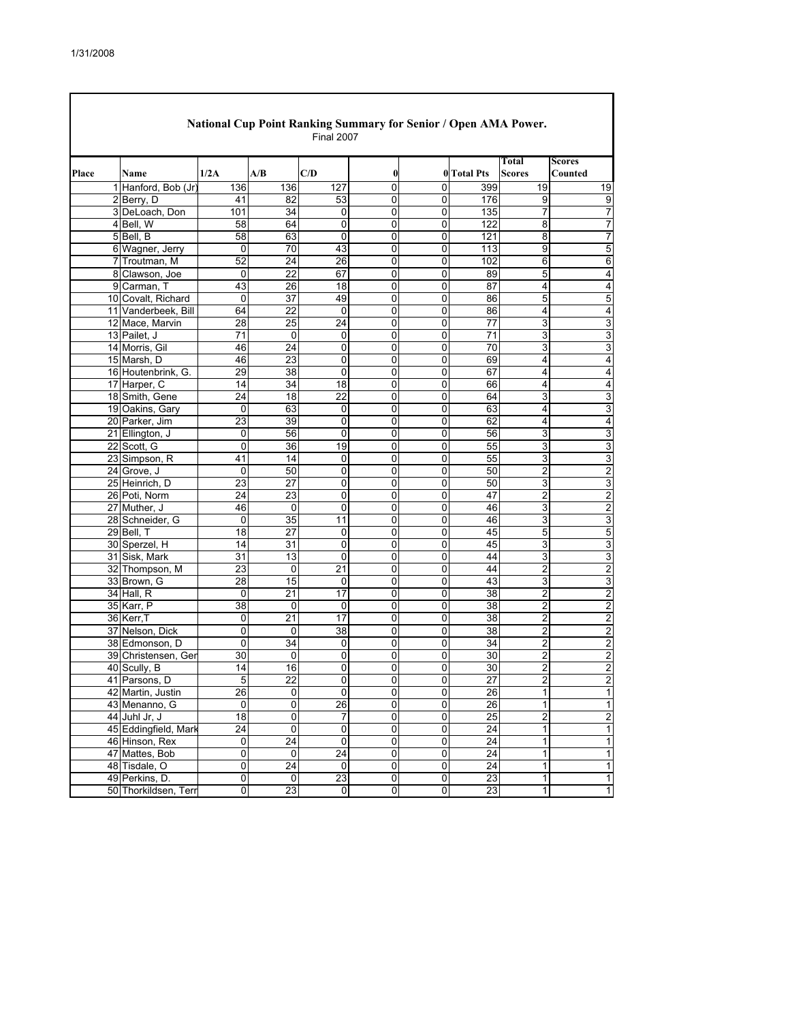| National Cup Point Ranking Summary for Senior / Open AMA Power.<br><b>Final 2007</b> |  |                                   |                         |                     |                 |                |                |                    |                         |                         |  |  |
|--------------------------------------------------------------------------------------|--|-----------------------------------|-------------------------|---------------------|-----------------|----------------|----------------|--------------------|-------------------------|-------------------------|--|--|
|                                                                                      |  |                                   |                         |                     |                 |                |                |                    | Total                   | <b>Scores</b>           |  |  |
| Place                                                                                |  | Name                              | 1/2A                    | A/B                 | C/D             | $\bf{0}$       |                | <b>0</b> Total Pts | <b>Scores</b>           | Counted                 |  |  |
|                                                                                      |  | 1 Hanford, Bob (Jr)               | 136                     | 136                 | 127             | $\mathbf 0$    | 0              | 399                | 19                      | 19                      |  |  |
|                                                                                      |  | 2 Berry, D                        | 41                      | 82                  | 53              | $\mathbf 0$    | 0              | 176                | 9                       | 9                       |  |  |
|                                                                                      |  | 3 DeLoach, Don                    | 101                     | 34                  | 0               | 0              | 0              | 135                | 7                       | $\overline{7}$          |  |  |
|                                                                                      |  | 4 Bell, W                         | 58                      | 64                  | 0               | 0              | 0              | 122                | 8                       | 7                       |  |  |
|                                                                                      |  | 5 Bell, B                         | $\overline{58}$         | 63                  | 0               | $\mathbf 0$    | 0              | $\overline{121}$   | 8                       | $\overline{7}$          |  |  |
|                                                                                      |  | 6 Wagner, Jerry                   | 0                       | 70                  | 43              | $\mathbf 0$    | 0              | 113                | $\overline{9}$          | 5                       |  |  |
|                                                                                      |  | 7 Troutman, M                     | 52                      | 24                  | 26              | $\mathbf 0$    | 0              | 102                | 6                       | 6                       |  |  |
|                                                                                      |  | 8 Clawson, Joe                    | 0                       | $\overline{22}$     | 67              | $\mathbf 0$    | 0              | 89                 | 5                       | 4                       |  |  |
|                                                                                      |  | 9 Carman, T                       | 43                      | 26                  | 18              | 0              | $\mathbf 0$    | 87                 | 4                       | 4                       |  |  |
|                                                                                      |  | 10 Covalt, Richard                | $\pmb{0}$               | 37                  | 49              | 0              | 0              | 86                 | 5                       | 5                       |  |  |
|                                                                                      |  | 11 Vanderbeek, Bill               | 64                      | 22                  | 0               | 0              | 0              | 86                 | 4                       | 4                       |  |  |
|                                                                                      |  | 12 Mace, Marvin                   | 28                      | $\overline{25}$     | $\overline{24}$ | $\mathbf 0$    | $\mathbf 0$    | $\overline{77}$    | 3                       | $\overline{3}$          |  |  |
|                                                                                      |  | 13 Pailet, J                      | $\overline{71}$         | $\overline{0}$      | 0               | 0              | 0              | $\overline{71}$    | 3                       | 3                       |  |  |
|                                                                                      |  | 14 Morris, Gil                    | 46                      | 24                  | 0               | 0              | $\mathbf 0$    | 70                 | 3                       | 3                       |  |  |
|                                                                                      |  | 15 Marsh, D                       | 46                      | 23                  | 0               | 0              | 0              | 69                 | 4                       | 4                       |  |  |
|                                                                                      |  | 16 Houtenbrink, G.                | 29                      | 38                  | 0               | 0              | $\mathbf 0$    | 67                 | 4                       | 4                       |  |  |
|                                                                                      |  | 17 Harper, C                      | 14                      | 34                  | 18              | 0              | 0              | 66                 | 4                       | 4                       |  |  |
|                                                                                      |  | 18 Smith, Gene                    | 24                      | 18                  | 22              | 0              | 0              | 64                 | 3                       | 3                       |  |  |
|                                                                                      |  | 19 Oakins, Gary                   | $\mathbf 0$             | 63                  | 0               | $\mathbf 0$    | 0              | 63                 | 4                       | 3                       |  |  |
|                                                                                      |  | 20 Parker, Jim                    | 23                      | 39                  | 0               | 0              | 0              | 62                 | 4                       | 4                       |  |  |
|                                                                                      |  | 21 Ellington, J                   | 0                       | 56                  | 0               | 0              | 0              | 56                 | 3                       | 3                       |  |  |
|                                                                                      |  | 22 Scott, G                       | $\overline{0}$          | 36                  | 19              | 0              | 0              | 55                 | 3                       | 3                       |  |  |
|                                                                                      |  | 23 Simpson, R                     | 41                      | 14                  | 0               | $\mathbf 0$    | 0              | 55                 | 3                       | $\overline{3}$          |  |  |
|                                                                                      |  | 24 Grove, J                       | 0                       | 50                  | 0               | 0              | 0              | 50                 | 2                       | 2                       |  |  |
|                                                                                      |  | 25 Heinrich, D                    | 23                      | 27                  | 0               | 0              | $\mathbf 0$    | 50                 | 3                       | 3                       |  |  |
|                                                                                      |  | 26 Poti, Norm                     | 24                      | 23                  | $\mathbf 0$     | 0              | $\mathbf 0$    | 47                 | 2                       | 2                       |  |  |
|                                                                                      |  | 27 Muther, J                      | 46                      | $\overline{0}$      | 0               | $\mathbf 0$    | 0              | 46                 | 3                       | 2                       |  |  |
|                                                                                      |  | 28 Schneider, G                   | 0                       | 35                  | 11              | $\mathbf 0$    | 0              | 46                 | 3                       | 3                       |  |  |
|                                                                                      |  | 29 Bell, T                        | 18                      | 27                  | 0               | 0              | 0              | 45                 | 5                       | 5                       |  |  |
|                                                                                      |  | 30 Sperzel, H                     | 14                      | $\overline{31}$     | 0               | $\mathbf 0$    | 0              | 45                 | 3                       | 3                       |  |  |
|                                                                                      |  | 31 Sisk, Mark                     | 31                      | 13                  | 0               | 0              | 0              | 44                 | 3                       | 3                       |  |  |
|                                                                                      |  | 32 Thompson, M                    | 23                      | $\mathbf 0$         | 21              | 0              | 0              | 44                 | $\overline{c}$          | $\overline{\mathbf{c}}$ |  |  |
|                                                                                      |  | 33 Brown, G                       | 28                      | 15                  | 0               | 0              | $\mathbf 0$    | 43                 | 3                       | 3                       |  |  |
|                                                                                      |  | 34 Hall, R                        | $\mathbf 0$             | $\overline{21}$     | 17              | $\mathbf 0$    | 0              | 38                 | $\overline{2}$          | $\overline{2}$          |  |  |
|                                                                                      |  | 35 Karr, P<br>36 Kerr, T          | 38<br>0                 | 0<br>21             | 0<br>17         | 0<br>0         | 0<br>0         | 38<br>38           | 2<br>$\overline{2}$     | 2<br>$\overline{2}$     |  |  |
|                                                                                      |  |                                   | 0                       | 0                   | $\overline{38}$ | 0              | $\mathbf 0$    | $\overline{38}$    |                         |                         |  |  |
|                                                                                      |  | 37 Nelson, Dick<br>38 Edmonson, D | $\overline{0}$          | 34                  | 0               | $\overline{0}$ | $\overline{0}$ | 34                 | 2                       | 2                       |  |  |
|                                                                                      |  | 39 Christensen, Ger               | 30                      | $\mathbf 0$         | 0               | 0              | 0              | 30                 | 2<br>$\overline{c}$     | 2<br>$\overline{2}$     |  |  |
|                                                                                      |  | 40 Scully, B                      | 14                      | 16                  | $\Omega$        | 0              | $\Omega$       | 30                 | $\overline{2}$          | $\overline{2}$          |  |  |
|                                                                                      |  | 41 Parsons, D                     |                         | 22                  | $\pmb{0}$       | 0              | 0              | 27                 | 2                       | $\overline{2}$          |  |  |
|                                                                                      |  | 42 Martin, Justin                 | 5<br>26                 | $\mathbf 0$         | 0               | 0              | 0              | 26                 | 1                       | 1                       |  |  |
|                                                                                      |  | 43 Menanno, G                     | $\mathbf 0$             |                     | 26              | $\pmb{0}$      | 0              |                    | 1                       | 1                       |  |  |
|                                                                                      |  | 44 Juhl Jr, J                     | $\overline{18}$         | 0<br>$\overline{0}$ | 7               | 0              | $\mathbf 0$    | 26<br>25           | $\overline{\mathbf{c}}$ | $\overline{2}$          |  |  |
|                                                                                      |  | 45 Eddingfield, Mark              | 24                      | $\overline{0}$      | 0               | 0              | 0              | 24                 | $\overline{1}$          | $\overline{1}$          |  |  |
|                                                                                      |  | 46 Hinson, Rex                    | 0                       | 24                  | $\pmb{0}$       | 0              | 0              | 24                 | 1                       | $\mathbf{1}$            |  |  |
|                                                                                      |  | 47 Mattes, Bob                    | 0                       | 0                   | 24              | $\overline{0}$ | 0              | 24                 | 1                       | $\overline{1}$          |  |  |
|                                                                                      |  | 48 Tisdale, O                     | $\overline{\mathbf{0}}$ | 24                  | $\pmb{0}$       | $\pmb{0}$      | $\mathsf 0$    | 24                 | 1                       | $\overline{1}$          |  |  |
|                                                                                      |  | 49 Perkins, D.                    | $\overline{0}$          | 0                   | 23              | $\pmb{0}$      | $\pmb{0}$      | 23                 | 1                       | $\mathbf{1}$            |  |  |
|                                                                                      |  | 50 Thorkildsen, Terr              | $\overline{0}$          | 23                  | $\mathbf 0$     | 0              | 0              | 23                 | 1                       | $\mathbf{1}$            |  |  |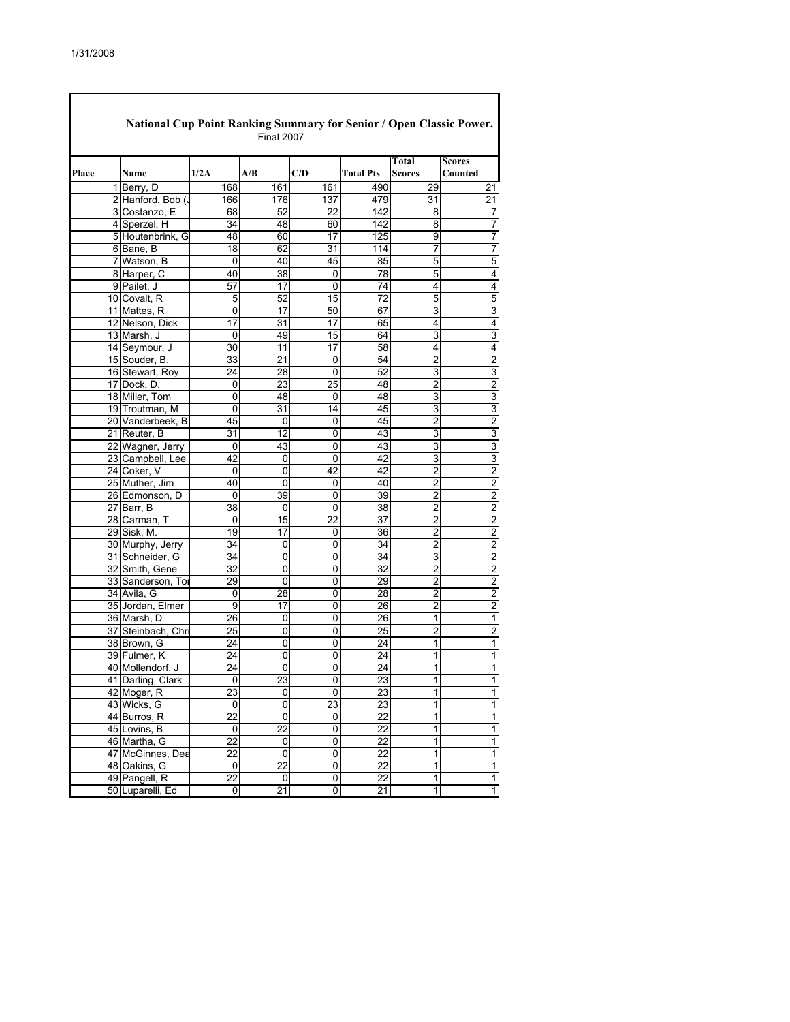|       | National Cup Point Ranking Summary for Senior / Open Classic Power.<br><b>Final 2007</b> |                                  |                 |                  |                 |                  |                        |                          |  |  |  |  |
|-------|------------------------------------------------------------------------------------------|----------------------------------|-----------------|------------------|-----------------|------------------|------------------------|--------------------------|--|--|--|--|
| Place |                                                                                          | Name                             | 1/2A            | A/B              | C/D             | <b>Total Pts</b> | Total<br><b>Scores</b> | <b>Scores</b><br>Counted |  |  |  |  |
|       |                                                                                          | 1 Berry, D                       | 168             | 161              | 161             | 490              | 29                     | 21                       |  |  |  |  |
|       |                                                                                          | 2 Hanford, Bob (                 | 166             | 176              | 137             | 479              | 31                     | $\overline{21}$          |  |  |  |  |
|       |                                                                                          | 3 Costanzo, E                    | 68              | 52               | 22              | 142              | 8                      | $\overline{\mathbf{7}}$  |  |  |  |  |
|       |                                                                                          | 4 Sperzel, H                     | 34              | 48               | 60              | 142              | 8                      | $\overline{7}$           |  |  |  |  |
|       |                                                                                          | 5 Houtenbrink, G                 | 48              | 60               | $\overline{17}$ | 125              | 9                      | $\overline{7}$           |  |  |  |  |
|       |                                                                                          | 6 Bane, B                        | 18              | 62               | 31              | 114              | 7                      | 7                        |  |  |  |  |
|       |                                                                                          | 7 Watson, B                      | 0               | 40               | 45              | 85               | 5                      | 5                        |  |  |  |  |
|       |                                                                                          | 8 Harper, C                      | 40              | $\overline{38}$  | 0               | 78               | $\overline{5}$         | $\overline{\mathbf{4}}$  |  |  |  |  |
|       |                                                                                          | 9 Pailet, J                      | 57              | 17               | 0               | 74               | 4                      | 4                        |  |  |  |  |
|       |                                                                                          | 10 Covalt, R                     | 5               | 52               | 15              | 72               | 5                      | 5                        |  |  |  |  |
|       |                                                                                          | 11 Mattes, R                     | 0               | 17               | 50              | 67               | 3                      | 3                        |  |  |  |  |
|       |                                                                                          | 12 Nelson, Dick                  | 17              | 31               | 17              | 65               | 4                      | $\overline{\mathbf{4}}$  |  |  |  |  |
|       |                                                                                          | 13 Marsh, J                      | 0               | 49               | 15              | 64               | 3                      | 3                        |  |  |  |  |
|       |                                                                                          | 14 Seymour, J                    | 30              | 11               | 17              | 58               | 4                      | 4                        |  |  |  |  |
|       |                                                                                          | 15 Souder, B.                    | 33              | $\overline{21}$  | 0               | 54               | $\overline{2}$         | $\overline{2}$           |  |  |  |  |
|       |                                                                                          | 16 Stewart, Roy                  | 24              | 28               | 0               | 52               | 3                      | $\overline{3}$           |  |  |  |  |
|       |                                                                                          | 17 Dock, D.                      | 0               | 23               | 25              | 48               | 2                      | $\overline{2}$           |  |  |  |  |
|       |                                                                                          | 18 Miller, Tom                   | 0               | 48               | 0               | 48               | 3                      | 3                        |  |  |  |  |
|       |                                                                                          | 19 Troutman, M                   | 0               | 31               | 14              | 45               | 3                      | 3                        |  |  |  |  |
|       |                                                                                          | 20 Vanderbeek, B                 | 45              | $\mathbf 0$      | 0               | 45               | $\overline{2}$         | $\overline{\mathbf{c}}$  |  |  |  |  |
|       |                                                                                          | 21 Reuter, B                     | 31              | 12               | 0               | 43               | 3                      | 3                        |  |  |  |  |
|       |                                                                                          | 22 Wagner, Jerry                 | 0               | 43               | 0               | 43               | 3                      | 3                        |  |  |  |  |
|       |                                                                                          | 23 Campbell, Lee                 | 42              | $\mathbf 0$      | 0               | 42               | 3                      | 3                        |  |  |  |  |
|       |                                                                                          | 24 Coker, V                      | 0               | 0                | 42              | 42               | 2                      | $\overline{2}$           |  |  |  |  |
|       |                                                                                          | 25 Muther, Jim                   | 40              | 0                | 0               | 40               | $\overline{2}$         | $\overline{\mathbf{c}}$  |  |  |  |  |
|       |                                                                                          | 26 Edmonson, D                   | 0               | 39               | 0               | 39               | $\overline{2}$         | $\overline{2}$           |  |  |  |  |
|       |                                                                                          | 27 Barr, B                       | 38              | 0                | 0               | 38               | $\overline{2}$         | $\overline{c}$           |  |  |  |  |
|       |                                                                                          | 28 Carman, T                     | 0               | 15               | 22              | 37               | $\overline{c}$         | $\overline{2}$           |  |  |  |  |
|       |                                                                                          | 29 Sisk, M.                      | 19              | 17               | 0               | 36               | 2                      | $\overline{2}$           |  |  |  |  |
|       |                                                                                          | 30 Murphy, Jerry                 | 34              | 0                | 0               | 34               | $\overline{2}$         | $\overline{\mathbf{c}}$  |  |  |  |  |
|       |                                                                                          | 31 Schneider, G                  | 34              | 0                | 0               | 34               | 3                      | $\overline{\mathbf{c}}$  |  |  |  |  |
|       |                                                                                          | 32 Smith, Gene                   | 32              | 0                | 0               | 32               | $\overline{c}$         | $\overline{2}$           |  |  |  |  |
|       |                                                                                          | 33 Sanderson, Tor                | 29              | 0                | 0               | 29               | $\overline{2}$         | $\overline{\mathbf{c}}$  |  |  |  |  |
|       |                                                                                          | 34 Avila, G                      | 0               | 28               | 0               | 28               | $\overline{c}$         | $\overline{\mathbf{c}}$  |  |  |  |  |
|       |                                                                                          | 35 Jordan, Elmer                 | 9               | 17               | 0               | 26               | $\overline{c}$         | $\overline{2}$           |  |  |  |  |
|       |                                                                                          | 36 Marsh, D                      | 26              | 0                | 0               | 26               | 1                      | $\overline{1}$           |  |  |  |  |
|       |                                                                                          | 37 Steinbach, Chri               | 25              | 0                | 0               | 25               | $\overline{2}$         | $\overline{2}$           |  |  |  |  |
|       |                                                                                          | 38 Brown, G                      | $\overline{24}$ | $\overline{0}$   | 0               | $\overline{24}$  | 1                      | $\overline{1}$           |  |  |  |  |
|       |                                                                                          | 39 Fulmer, K                     | 24              | 0                | 0               | 24               | 1                      | 1                        |  |  |  |  |
|       |                                                                                          | 40 Mollendorf, J                 | $\overline{24}$ | 0                | 0               | 24               | 1                      | 1                        |  |  |  |  |
|       |                                                                                          |                                  |                 | 23               | 0               | 23               | 1                      |                          |  |  |  |  |
|       |                                                                                          | 41 Darling, Clark<br>42 Moger, R | 0<br>23         | 0                | 0               | 23               | 1                      | 1<br>$\mathbf{1}$        |  |  |  |  |
|       |                                                                                          | 43 Wicks, G                      |                 |                  |                 |                  |                        | 1                        |  |  |  |  |
|       |                                                                                          |                                  | 0<br>22         | 0<br>$\mathbf 0$ | 23              | 23<br>22         | 1<br>1                 | $\overline{1}$           |  |  |  |  |
|       |                                                                                          | 44 Burros, R                     |                 | $\overline{22}$  | 0               |                  | 1                      |                          |  |  |  |  |
|       |                                                                                          | 45 Lovins, B                     | 0               |                  | 0               | 22               |                        | $\overline{1}$           |  |  |  |  |
|       |                                                                                          | 46 Martha, G                     | 22              | 0<br>0           | 0               | 22               | 1                      | 1                        |  |  |  |  |
|       |                                                                                          | 47 McGinnes, Dea                 | 22              |                  | 0               | 22               | 1                      | $\overline{1}$           |  |  |  |  |
|       |                                                                                          | 48 Oakins, G                     | $\pmb{0}$       | 22               | 0               | 22               | 1                      | 1                        |  |  |  |  |
|       |                                                                                          | 49 Pangell, R                    | 22              | 0                | 0               | 22               | 1                      | $\mathbf{1}$             |  |  |  |  |
|       |                                                                                          | 50 Luparelli, Ed                 | 0               | 21               | 0               | 21               | 1                      | $\mathbf{1}$             |  |  |  |  |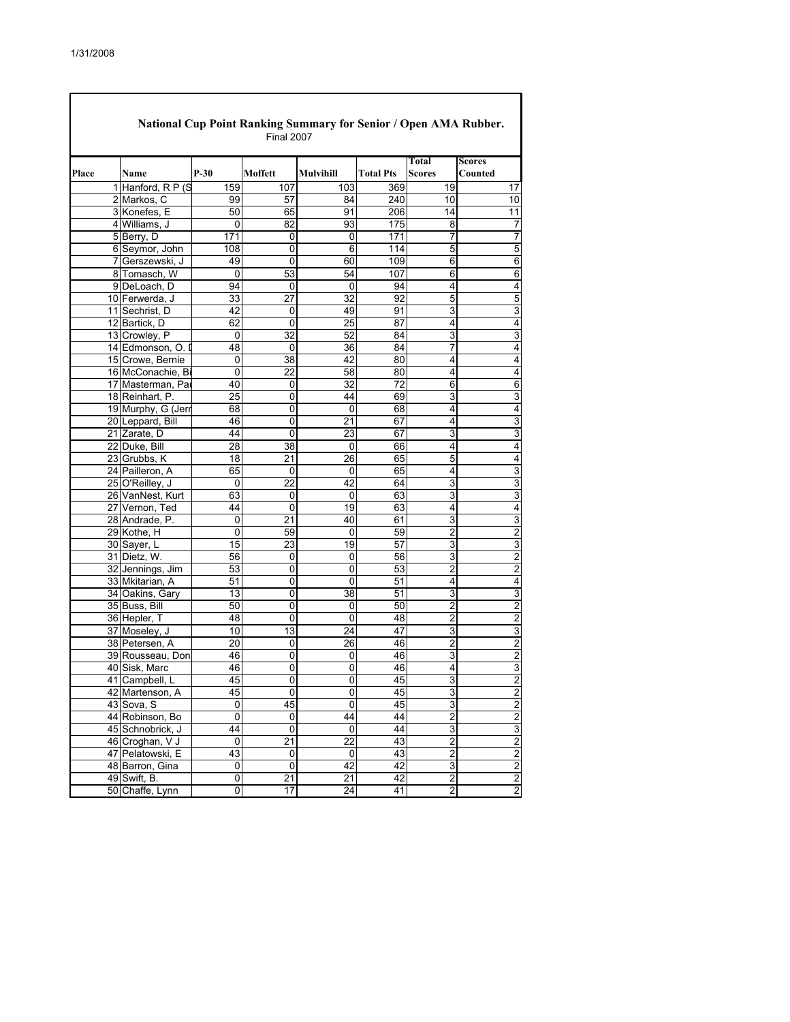|       | National Cup Point Ranking Summary for Senior / Open AMA Rubber.<br><b>Final 2007</b> |                                     |                 |                |                  |                  |                         |                         |  |  |  |  |
|-------|---------------------------------------------------------------------------------------|-------------------------------------|-----------------|----------------|------------------|------------------|-------------------------|-------------------------|--|--|--|--|
|       |                                                                                       |                                     |                 |                |                  |                  | Total                   | <b>Scores</b>           |  |  |  |  |
| Place |                                                                                       | Name                                | $P-30$          | Moffett        | <b>Mulvihill</b> | <b>Total Pts</b> | <b>Scores</b>           | Counted                 |  |  |  |  |
|       |                                                                                       | 1 Hanford, R P (S                   | 159             | 107            | 103              | 369              | 19                      | 17                      |  |  |  |  |
|       |                                                                                       | 2 Markos, C                         | 99              | 57             | 84               | 240              | 10                      | 10                      |  |  |  |  |
|       |                                                                                       | 3 Konefes, E                        | 50              | 65             | 91               | 206              | 14                      | 11                      |  |  |  |  |
|       |                                                                                       | 4 Williams, J                       | 0               | 82             | 93               | 175              | 8                       | 7                       |  |  |  |  |
|       |                                                                                       | 5 Berry, D                          | 171             | $\mathbf 0$    | $\Omega$         | 171              | $\overline{7}$          | $\overline{7}$          |  |  |  |  |
|       |                                                                                       | 6 Seymor, John                      | 108             | 0              | $\overline{6}$   | 114              | 5                       | 5                       |  |  |  |  |
|       |                                                                                       | 7 Gerszewski, J                     | 49              | 0              | 60               | 109              | 6                       | 6                       |  |  |  |  |
|       |                                                                                       | 8 Tomasch, W                        | $\Omega$        | 53             | 54               | 107              | 6                       | 6                       |  |  |  |  |
|       |                                                                                       | 9 DeLoach, D                        | 94              | 0              | 0                | 94               | 4                       | 4                       |  |  |  |  |
|       |                                                                                       | 10 Ferwerda, J                      | 33              | 27             | 32               | 92               | 5                       | 5                       |  |  |  |  |
|       |                                                                                       | 11 Sechrist, D                      | 42              | 0              | 49               | 91               | 3                       | 3                       |  |  |  |  |
|       |                                                                                       | 12 Bartick, D                       | 62              | 0              | 25               | 87               | 4                       | 4                       |  |  |  |  |
|       |                                                                                       | 13 Crowley, P                       | 0               | 32             | 52               | 84               | 3                       | 3                       |  |  |  |  |
|       |                                                                                       | 14 Edmonson, O. I                   | 48              | 0              | 36               | 84               | 7                       | 4                       |  |  |  |  |
|       |                                                                                       | 15 Crowe, Bernie                    | 0               | 38             | 42               | 80               | 4                       | 4                       |  |  |  |  |
|       |                                                                                       | 16 McConachie, Bi                   | 0               | 22             | 58               | 80               | 4                       | 4                       |  |  |  |  |
|       |                                                                                       | 17 Masterman, Par                   | 40              | 0              | 32               | 72               | 6                       | 6                       |  |  |  |  |
|       |                                                                                       | 18 Reinhart, P.                     | 25              | 0              | 44               | 69               | 3                       | 3                       |  |  |  |  |
|       |                                                                                       | 19 Murphy, G (Jerr                  | 68              | 0              | 0                | 68               | 4                       | 4                       |  |  |  |  |
|       |                                                                                       | 20 Leppard, Bill                    | 46              | 0              | 21               | 67               | 4                       | 3                       |  |  |  |  |
|       |                                                                                       | 21 Zarate, D                        | 44              | 0              | 23               | 67               | 3                       | 3                       |  |  |  |  |
|       |                                                                                       | 22 Duke, Bill                       | $\overline{28}$ | 38             | 0                | 66               | 4                       | 4                       |  |  |  |  |
|       |                                                                                       | 23 Grubbs, K                        | 18              | 21             | 26               | 65               | 5                       | 4                       |  |  |  |  |
|       |                                                                                       | 24 Pailleron, A                     | 65              | 0              | 0                | 65               | 4                       | 3                       |  |  |  |  |
|       |                                                                                       | 25 O'Reilley, J                     | 0               | 22             | 42               | 64               | 3                       | 3                       |  |  |  |  |
|       |                                                                                       | 26 VanNest, Kurt                    | 63              | 0              | 0                | 63               | 3                       | 3                       |  |  |  |  |
|       |                                                                                       | 27 Vernon, Ted                      | 44              | $\mathbf 0$    | 19               | 63               | 4                       | $\overline{4}$          |  |  |  |  |
|       |                                                                                       | 28 Andrade, P.                      | 0               | 21             | 40               | 61               | 3                       | 3                       |  |  |  |  |
|       |                                                                                       | 29 Kothe, H                         | 0               | 59             | 0                | 59               | $\overline{2}$          | $\overline{2}$          |  |  |  |  |
|       |                                                                                       | 30 Sayer, L                         | 15              | 23             | 19               | 57               | 3                       | 3                       |  |  |  |  |
|       |                                                                                       | 31 Dietz, W.                        | 56              | 0              | 0                | 56               | 3                       | 2                       |  |  |  |  |
|       |                                                                                       |                                     | 53              | 0              | 0                | 53               | $\overline{2}$          | $\overline{c}$          |  |  |  |  |
|       |                                                                                       | 32 Jennings, Jim<br>33 Mkitarian, A | 51              | 0              | 0                | 51               | 4                       | 4                       |  |  |  |  |
|       |                                                                                       | 34 Oakins, Gary                     | 13              | 0              | 38               | 51               | 3                       | 3                       |  |  |  |  |
|       |                                                                                       | 35 Buss, Bill                       | 50              | 0              | 0                | 50               | 2                       | $\overline{2}$          |  |  |  |  |
|       |                                                                                       |                                     | 48              | 0              | $\overline{0}$   | 48               | 2                       | 2                       |  |  |  |  |
|       |                                                                                       | 36 Hepler, T<br>37 Moseley, J       | 10              | 13             | 24               | 47               | 3                       |                         |  |  |  |  |
|       |                                                                                       | 38 Petersen, A                      | 20              | 0              | 26               | 46               | $\overline{2}$          | 3<br>$\overline{c}$     |  |  |  |  |
|       |                                                                                       |                                     |                 |                |                  |                  |                         |                         |  |  |  |  |
|       |                                                                                       | 39 Rousseau, Don<br>40 Sisk, Marc   | 46<br>46        | 0              | 0                | 46<br>46         | 3<br>4                  | $\overline{c}$          |  |  |  |  |
|       |                                                                                       |                                     |                 | 0              | $\overline{0}$   |                  |                         | 3                       |  |  |  |  |
|       |                                                                                       | 41 Campbell, L                      | 45              | 0              | 0                | 45               | 3                       | $\overline{2}$          |  |  |  |  |
|       |                                                                                       | 42 Martenson, A                     | 45              | 0              | $\mathsf 0$      | 45               | $\overline{3}$          | $\overline{c}$          |  |  |  |  |
|       |                                                                                       | 43 Sova, S                          | 0               | 45             | $\overline{0}$   | 45               | 3                       | $\overline{c}$          |  |  |  |  |
|       |                                                                                       | 44 Robinson, Bo                     | $\pmb{0}$       | 0              | 44               | 44               | $\overline{2}$          | $\overline{2}$          |  |  |  |  |
|       |                                                                                       | 45 Schnobrick, J                    | 44              | $\overline{0}$ | 0                | 44               | 3                       | 3                       |  |  |  |  |
|       |                                                                                       | 46 Croghan, V J                     | $\pmb{0}$       | 21             | 22               | 43               | $\overline{c}$          | $\overline{\mathbf{c}}$ |  |  |  |  |
|       |                                                                                       | 47 Pelatowski, E                    | 43              | 0              | 0                | 43               | $\overline{2}$          | $\overline{c}$          |  |  |  |  |
|       |                                                                                       | 48 Barron, Gina                     | 0               | 0              | 42               | 42               | 3                       | $\overline{c}$          |  |  |  |  |
|       |                                                                                       | 49 Swift, B.                        | 0               | 21             | 21               | 42               | $\overline{\mathbf{c}}$ | $\overline{\mathbf{c}}$ |  |  |  |  |
|       |                                                                                       | 50 Chaffe, Lynn                     | $\overline{0}$  | 17             | 24               | 41               | $\overline{\mathbf{c}}$ | $\overline{c}$          |  |  |  |  |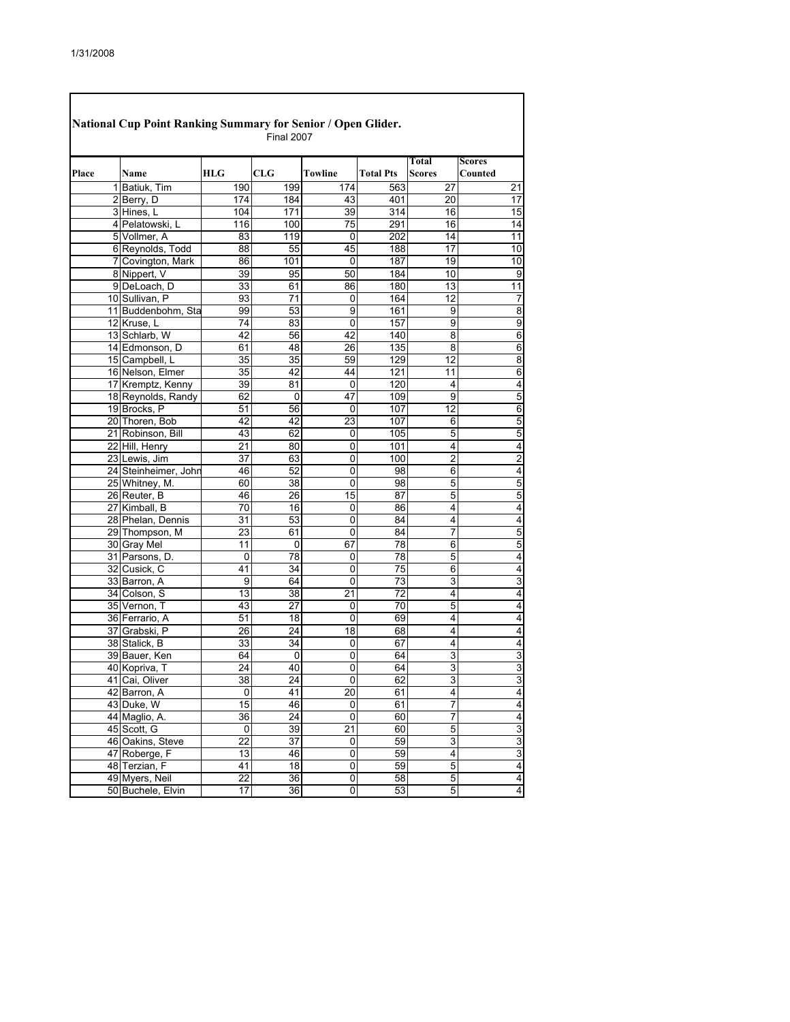Г

|       | National Cup Point Ranking Summary for Senior / Open Glider. |                 | <b>Final 2007</b> |                 |                  |                        |                          |
|-------|--------------------------------------------------------------|-----------------|-------------------|-----------------|------------------|------------------------|--------------------------|
| Place | Name                                                         | <b>HLG</b>      | CLG               | <b>Towline</b>  | <b>Total Pts</b> | Total<br><b>Scores</b> | <b>Scores</b><br>Counted |
|       | 1 Batiuk, Tim                                                | 190             | 199               | 174             | 563              | 27                     | 21                       |
|       | 2 Berry, D                                                   | 174             | 184               | 43              | 401              | 20                     | 17                       |
|       | 3 Hines, L                                                   | 104             | 171               | 39              | 314              | 16                     | 15                       |
|       | 4 Pelatowski, L                                              | 116             | 100               | 75              | 291              | 16                     | 14                       |
|       | 5 Vollmer, A                                                 | 83              | 119               | 0               | 202              | 14                     | 11                       |
|       | 6 Reynolds, Todd                                             | 88              | 55                | 45              | 188              | 17                     | 10                       |
|       | 7 Covington, Mark                                            | 86              | 101               | 0               | 187              | 19                     | 10                       |
|       | 8 Nippert, V                                                 | 39              | 95                | 50              | 184              | 10                     | 9                        |
|       | 9 DeLoach, D                                                 | 33              | 61                | 86              | 180              | 13                     | 11                       |
|       | 10 Sullivan, P                                               | 93              | 71                | 0               | 164              | 12                     | 7                        |
|       | 11 Buddenbohm, Sta                                           | 99              | 53                | $\overline{9}$  | 161              | 9                      | 8                        |
|       | 12 Kruse, L                                                  | 74              | 83                | 0               | 157              | 9                      | 9                        |
|       | 13 Schlarb, W                                                | 42              | 56                | 42              | 140              | $\overline{8}$         | 6                        |
|       | 14 Edmonson, D                                               | 61              | 48                | 26              | 135              | 8                      | 6                        |
|       | 15 Campbell, L                                               | 35              | 35                | 59              | 129              | 12                     | 8                        |
|       | 16 Nelson, Elmer                                             | 35              | 42                | 44              | 121              | 11                     | 6                        |
|       | 17 Kremptz, Kenny                                            | 39              | 81                | 0               | 120              | 4                      | 4                        |
|       | 18 Reynolds, Randy                                           | 62              | 0                 | 47              | 109              | 9                      | 5                        |
|       | 19 Brocks, P                                                 | 51              | 56                | $\mathbf 0$     | 107              | 12                     | 6                        |
|       | 20 Thoren, Bob                                               | 42              | 42                | 23              | 107              | 6                      | 5                        |
|       | 21 Robinson, Bill                                            | 43              | 62                | 0               | 105              | 5                      | 5                        |
|       | 22 Hill, Henry                                               | 21              | 80                | 0               | 101              | 4                      | 4                        |
|       | 23 Lewis, Jim                                                | 37              | 63                | 0               | 100              | $\overline{2}$         | $\overline{2}$           |
|       | 24 Steinheimer, Johr                                         | 46              | 52                | 0               | 98               | 6                      | 4                        |
|       | 25 Whitney, M.                                               | 60              | 38                | 0               | 98               | 5                      | 5                        |
|       | 26 Reuter, B                                                 | 46              | 26                | 15              | 87               | 5                      | 5                        |
|       | 27 Kimball, B                                                | 70              | 16                | 0               | 86               | 4                      | 4                        |
|       | 28 Phelan, Dennis                                            | 31              | 53                | 0               | 84               | 4                      | 4                        |
|       | 29 Thompson, M                                               | 23              | 61                | 0               | 84               | 7                      | 5                        |
|       | 30 Gray Mel                                                  | 11              | 0                 | 67              | 78               | 6                      | 5                        |
|       | 31 Parsons, D.                                               | 0               | 78                | 0               | 78               | 5                      | 4                        |
|       | 32 Cusick, C                                                 | 41              | 34                | 0               | 75               | 6                      | 4                        |
|       | 33 Barron, A                                                 | 9               | 64                | 0               | 73               | 3                      | 3                        |
|       | 34 Colson, S                                                 | 13              | 38                | 21              | 72               | 4                      | 4                        |
|       | 35 Vernon, T                                                 | 43              | 27                | 0               | 70               | 5                      | 4                        |
|       | 36 Ferrario, A                                               | 51              | 18                | 0               | 69               | 4                      | 4                        |
|       | 37 Grabski, P                                                | 26              | 24                | 18              | 68               | 4                      | 4                        |
|       | 38 Stalick, B                                                | 33              | 34                | 0               | 67               | 4                      | 4                        |
|       | 39 Bauer, Ken                                                | 64              | 0                 | 0               | 64               | 3                      | 3                        |
|       | 40 Kopriva, T                                                | 24              | 40                | 0               | 64               | 3                      | 3                        |
|       | 41 Cai. Oliver                                               | $\overline{38}$ | 24                | $\overline{0}$  | 62               | 3                      | 3                        |
|       | 42 Barron, A                                                 | 0               | 41                | 20              | 61               | 4                      | 4                        |
|       | 43 Duke, W                                                   | 15              | 46                | 0               | 61               | $\overline{7}$         | 4                        |
|       | 44 Maglio, A.                                                | 36              | 24                | 0               | 60               | 7                      | 4                        |
|       | 45 Scott, G                                                  | $\overline{0}$  | 39                | $\overline{21}$ | 60               | 5                      | 3                        |
|       | 46 Oakins, Steve                                             | 22              | 37                | 0               | 59               | 3                      | 3                        |
|       | 47 Roberge, F                                                | 13              | 46                | 0               | 59               | 4                      | 3                        |
|       | 48 Terzian, F                                                | 41              | $\frac{1}{8}$     | $\overline{0}$  | 59               | 5                      | 4                        |
|       | 49 Myers, Neil                                               | 22              | 36                | 0               | 58               | 5                      | 4                        |
|       | 50 Buchele, Elvin                                            | 17              | 36                | 0               | 53               | $\overline{5}$         | 4                        |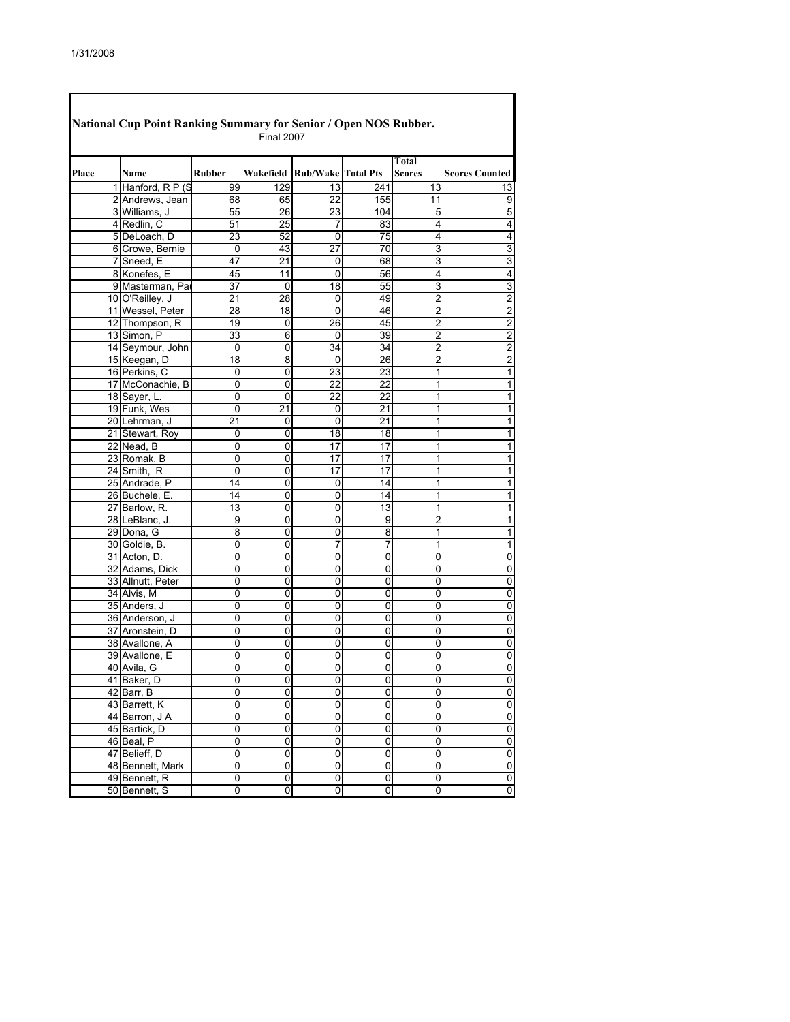| National Cup Point Ranking Summary for Senior / Open NOS Rubber.<br><b>Final 2007</b> |                   |                |                 |                                  |                 |                               |                       |  |  |  |
|---------------------------------------------------------------------------------------|-------------------|----------------|-----------------|----------------------------------|-----------------|-------------------------------|-----------------------|--|--|--|
| Place                                                                                 | Name              | <b>Rubber</b>  |                 | Wakefield   Rub/Wake   Total Pts |                 | <b>Total</b><br><b>Scores</b> | <b>Scores Counted</b> |  |  |  |
|                                                                                       | 1 Hanford, R P (S | 99             | 129             | 13                               | 241             | 13                            | 13                    |  |  |  |
|                                                                                       | 2 Andrews, Jean   | 68             | 65              | 22                               | 155             | 11                            | 9                     |  |  |  |
|                                                                                       | 3 Williams, J     | 55             | 26              | 23                               | 104             | 5                             | 5                     |  |  |  |
|                                                                                       | 4 Redlin, C       | 51             | $\overline{25}$ | 7                                | 83              | 4                             | 4                     |  |  |  |
|                                                                                       | 5 DeLoach, D      | 23             | 52              | 0                                | 75              | 4                             | 4                     |  |  |  |
|                                                                                       | 6 Crowe, Bernie   | 0              | 43              | 27                               | 70              | 3                             | 3                     |  |  |  |
|                                                                                       | 7 Sneed, E        | 47             | 21              | 0                                | 68              | 3                             | 3                     |  |  |  |
|                                                                                       | 8 Konefes, E      | 45             | 11              | 0                                | 56              | 4                             | 4                     |  |  |  |
|                                                                                       | 9 Masterman, Par  | 37             | 0               | 18                               | 55              | 3                             | 3                     |  |  |  |
|                                                                                       | 10 O'Reilley, J   | 21             | 28              | 0                                | 49              | $\overline{2}$                | $\overline{2}$        |  |  |  |
|                                                                                       | 11 Wessel, Peter  | 28             | 18              | 0                                | 46              | 2                             | 2                     |  |  |  |
|                                                                                       | 12 Thompson, R    | 19             | 0               | 26                               | 45              | 2                             | 2                     |  |  |  |
|                                                                                       | 13 Simon, P       | 33             | 6               | 0                                | 39              | $\overline{2}$                | 2                     |  |  |  |
|                                                                                       | 14 Seymour, John  | 0              | 0               | 34                               | 34              | $\overline{2}$                | 2                     |  |  |  |
|                                                                                       | 15 Keegan, D      | 18             | 8               | 0                                | 26              | $\overline{2}$                | $\overline{2}$        |  |  |  |
|                                                                                       | 16 Perkins, C     | 0              | 0               | 23                               | 23              | 1                             | 1                     |  |  |  |
|                                                                                       | 17 McConachie, B  | 0              | 0               | 22                               | 22              | 1                             | 1                     |  |  |  |
|                                                                                       | 18 Sayer, L.      | 0              | 0               | 22                               | 22              | 1                             | 1                     |  |  |  |
|                                                                                       | 19 Funk, Wes      | 0              | 21              | 0                                | 21              | 1                             | 1                     |  |  |  |
|                                                                                       | 20 Lehrman, J     | 21             | 0               | 0                                | $\overline{21}$ | 1                             | 1                     |  |  |  |
|                                                                                       | 21 Stewart, Roy   |                | 0               | 18                               | 18              | 1                             |                       |  |  |  |
|                                                                                       | 22 Nead, B        | 0              |                 | 17                               | $\overline{17}$ | 1                             | 1<br>1                |  |  |  |
|                                                                                       |                   | 0              | 0               |                                  |                 |                               |                       |  |  |  |
|                                                                                       | 23 Romak, B       | 0              | 0               | 17                               | 17<br>17        | 1                             | 1                     |  |  |  |
|                                                                                       | 24 Smith, R       | 0              | 0               | 17                               |                 | 1                             | 1                     |  |  |  |
|                                                                                       | 25 Andrade, P     | 14             | 0               | 0                                | 14              | 1                             | 1                     |  |  |  |
|                                                                                       | 26 Buchele, E.    | 14             | 0               | 0                                | 14              | 1                             | 1                     |  |  |  |
|                                                                                       | 27 Barlow, R.     | 13             | 0               | 0                                | 13              | 1                             | 1                     |  |  |  |
|                                                                                       | 28 LeBlanc, J.    | 9              | 0               | 0                                | 9               | $\overline{2}$                | 1                     |  |  |  |
|                                                                                       | 29 Dona, G        | 8              | 0               | 0                                | 8               | 1                             | 1                     |  |  |  |
|                                                                                       | 30 Goldie, B.     | 0              | 0               | 7                                | 7               | 1                             | 1                     |  |  |  |
|                                                                                       | 31 Acton, D.      | 0              | 0               | 0                                | 0               | 0                             | 0                     |  |  |  |
|                                                                                       | 32 Adams, Dick    | 0              | 0               | 0                                | 0               | 0                             | 0                     |  |  |  |
|                                                                                       | 33 Allnutt, Peter | 0              | 0               | 0                                | 0               | 0                             | 0                     |  |  |  |
|                                                                                       | 34 Alvis, M       | 0              | 0               | 0                                | 0               | 0                             | 0                     |  |  |  |
|                                                                                       | 35 Anders, J      | 0              | 0               | 0                                | 0               | 0                             | 0                     |  |  |  |
|                                                                                       | 36 Anderson, J    | 0              | 0               | 0                                | 0               | 0                             | 0                     |  |  |  |
|                                                                                       | 37 Aronstein, D   | 0              | 0               | 0                                | 0               | 0                             | 0                     |  |  |  |
|                                                                                       | 38 Avallone, A    | 0              | 0               | 0                                | 0               | 0                             | 0                     |  |  |  |
|                                                                                       | 39 Avallone, E    | 0              | 0               | 0                                | 0               | 0                             | 0                     |  |  |  |
|                                                                                       | 40 Avila, G       | 0              | 0               | 0                                | 0               | 0                             | 0                     |  |  |  |
|                                                                                       | 41 Baker, D       | 0              | 0               | 0                                | 0               | 0                             | 0                     |  |  |  |
|                                                                                       | 42 Barr, B        | 0              | 0               | 0                                | 0               | 0                             | 0                     |  |  |  |
|                                                                                       | 43 Barrett, K     | 0              | 0               | 0                                | 0               | 0                             | 0                     |  |  |  |
|                                                                                       | 44 Barron, J A    | 0              | 0               | 0                                | 0               | 0                             | 0                     |  |  |  |
|                                                                                       | 45 Bartick, D     | $\overline{0}$ | 0               | 0                                | 0               | $\overline{0}$                | 0                     |  |  |  |
|                                                                                       | 46 Beal, P        | $\mathbf 0$    | 0               | 0                                | 0               | 0                             | $\mathbf 0$           |  |  |  |
|                                                                                       | 47 Belieff, D     | $\overline{0}$ | $\overline{0}$  | 0                                | $\overline{0}$  | $\overline{0}$                | $\overline{0}$        |  |  |  |
|                                                                                       | 48 Bennett, Mark  | $\mathbf 0$    | 0               | 0                                | 0               | 0                             | $\mathbf 0$           |  |  |  |
|                                                                                       | 49 Bennett, R     | $\mathbf 0$    | 0               | 0                                | $\mathbf 0$     | 0                             | $\mathbf 0$           |  |  |  |
|                                                                                       | 50 Bennett, S     | 0              | 0               | 0                                | 0               | 0                             | 0                     |  |  |  |